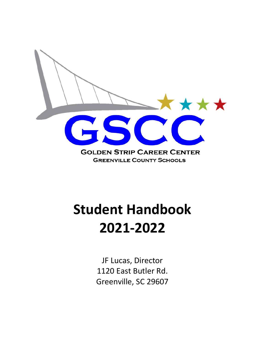

# **Student Handbook 2021-2022**

JF Lucas, Director 1120 East Butler Rd. Greenville, SC 29607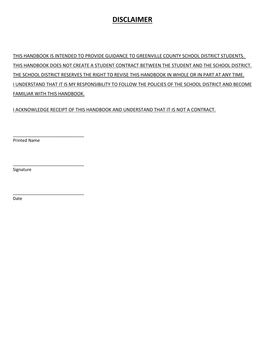# **DISCLAIMER**

THIS HANDBOOK IS INTENDED TO PROVIDE GUIDANCE TO GREENVILLE COUNTY SCHOOL DISTRICT STUDENTS. THIS HANDBOOK DOES NOT CREATE A STUDENT CONTRACT BETWEEN THE STUDENT AND THE SCHOOL DISTRICT. THE SCHOOL DISTRICT RESERVES THE RIGHT TO REVISE THIS HANDBOOK IN WHOLE OR IN PART AT ANY TIME. I UNDERSTAND THAT IT IS MY RESPONSIBILITY TO FOLLOW THE POLICIES OF THE SCHOOL DISTRICT AND BECOME FAMILIAR WITH THIS HANDBOOK.

I ACKNOWLEDGE RECEIPT OF THIS HANDBOOK AND UNDERSTAND THAT IT IS NOT A CONTRACT.

Printed Name

\_\_\_\_\_\_\_\_\_\_\_\_\_\_\_\_\_\_\_\_\_\_\_\_\_\_\_\_\_\_

\_\_\_\_\_\_\_\_\_\_\_\_\_\_\_\_\_\_\_\_\_\_\_\_\_\_\_\_\_\_

\_\_\_\_\_\_\_\_\_\_\_\_\_\_\_\_\_\_\_\_\_\_\_\_\_\_\_\_\_\_

Signature

Date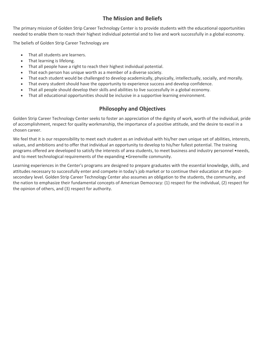## **The Mission and Beliefs**

The primary mission of Golden Strip Career Technology Center is to provide students with the educational opportunities needed to enable them to reach their highest individual potential and to live and work successfully in a global economy.

The beliefs of Golden Strip Career Technology are

- That all students are learners.
- That learning is lifelong.
- That all people have a right to reach their highest individual potential.
- That each person has unique worth as a member of a diverse society.
- That each student would be challenged to develop academically, physically, intellectually, socially, and morally.
- That every student should have the opportunity to experience success and develop confidence.
- That all people should develop their skills and abilities to live successfully in a global economy.
- That all educational opportunities should be inclusive in a supportive learning environment.

## **Philosophy and Objectives**

Golden Strip Career Technology Center seeks to foster an appreciation of the dignity of work, worth of the individual, pride of accomplishment, respect for quality workmanship, the importance of a positive attitude, and the desire to excel in a chosen career.

We feel that it is our responsibility to meet each student as an individual with his/her own unique set of abilities, interests, values, and ambitions and to offer that individual an opportunity to develop to his/her fullest potential. The training programs offered are developed to satisfy the interests of area students, to meet business and industry personnel •needs, and to meet technological requirements of the expanding •Greenville community.

Learning experiences in the Center's programs are designed to prepare graduates with the essential knowledge, skills, and attitudes necessary to successfully enter and compete in today's job market or to continue their education at the postsecondary level. Golden Strip Career Technology Center also assumes an obligation to the students, the community, and the nation to emphasize their fundamental concepts of American Democracy: (1) respect for the individual, (2) respect for the opinion of others, and (3) respect for authority.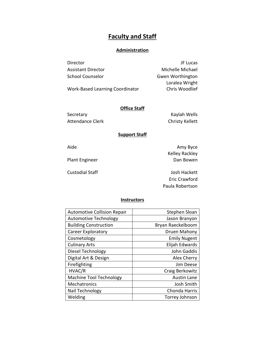# **Faculty and Staff**

#### **Administration**

| Director                  | JF Lucas         |
|---------------------------|------------------|
| <b>Assistant Director</b> | Michelle Michael |
| School Counselor          | Gwen Worthington |
|                           | Loralea Wright   |

Work-Based Learning Coordinator Chris Woodlief

### **Office Staff**

Attendance Clerk Christy Kellett

Secretary **Kaylah Wells** 

#### **Support Staff**

Aide **Aide** Aide **Amy Byce** Kelley Rackley Plant Engineer **Dan Bowen** 

Custodial Staff Josh Hackett Eric Crawford Paula Robertson

#### **Instructors**

| <b>Automotive Collision Repair</b> | Stephen Sloan       |
|------------------------------------|---------------------|
| <b>Automotive Technology</b>       | Jason Branyon       |
| <b>Building Construction</b>       | Bryan Raeckelboom   |
| <b>Career Exploratory</b>          | Druen Mahony        |
| Cosmetology                        | <b>Emily Nugent</b> |
| <b>Culinary Arts</b>               | Elijah Edwards      |
| Diesel Technology                  | John Gaddis         |
| Digital Art & Design               | Alex Cherry         |
| Firefighting                       | Jim Deese           |
| HVAC/R                             | Craig Berkowitz     |
| <b>Machine Tool Technology</b>     | <b>Austin Lane</b>  |
| <b>Mechatronics</b>                | Josh Smith          |
| Nail Technology                    | Chonda Harris       |
| Welding                            | Torrey Johnson      |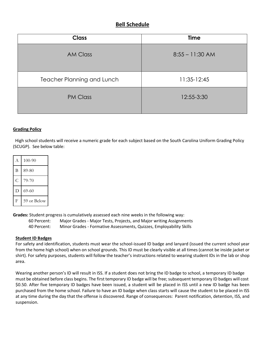## **Bell Schedule**

| <b>Class</b>                      | <b>Time</b>       |  |  |
|-----------------------------------|-------------------|--|--|
| <b>AM Class</b>                   | $8:55 - 11:30$ AM |  |  |
| <b>Teacher Planning and Lunch</b> | $11:35-12:45$     |  |  |
| <b>PM Class</b>                   | 12:55-3:30        |  |  |

#### **Grading Policy**

 High school students will receive a numeric grade for each subject based on the South Carolina Uniform Grading Policy (SCUGP). See below table:

| A | $100 - 90$  |
|---|-------------|
| В | 89-80       |
| C | 79-70       |
|   | $69 - 60$   |
| F | 59 or Below |

**Grades:** Student progress is cumulatively assessed each nine weeks in the following way:

60 Percent: Major Grades - Major Tests, Projects, and Major writing Assignments 40 Percent: Minor Grades - Formative Assessments, Quizzes, Employability Skills

#### **Student ID Badges**

For safety and identification, students must wear the school-issued ID badge and lanyard (issued the current school year from the home high school) when on school grounds. This ID must be clearly visible at all times (cannot be inside jacket or shirt). For safety purposes, students will follow the teacher's instructions related to wearing student IDs in the lab or shop area.

Wearing another person's ID will result in ISS. If a student does not bring the ID badge to school, a temporary ID badge must be obtained before class begins. The first temporary ID badge will be free; subsequent temporary ID badges will cost \$0.50. After five temporary ID badges have been issued, a student will be placed in ISS until a new ID badge has been purchased from the home school. Failure to have an ID badge when class starts will cause the student to be placed in ISS at any time during the day that the offense is discovered. Range of consequences: Parent notification, detention, ISS, and suspension.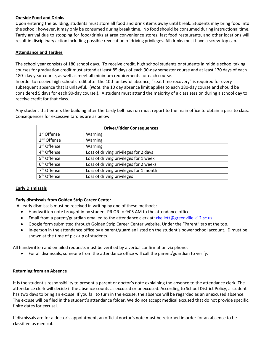#### **Outside Food and Drinks**

Upon entering the building, students must store all food and drink items away until break. Students may bring food into the school; however, it may only be consumed during break time. No food should be consumed during instructional time. Tardy arrival due to stopping for food/drinks at area convenience stores, fast food restaurants, and other locations will result in disciplinary action including possible revocation of driving privileges. All drinks must have a screw-top cap.

#### **Attendance and Tardies**

The school year consists of 180 school days. To receive credit, high school students or students in middle school taking courses for graduation credit must attend at least 85 days of each 90-day semester course and at least 170 days of each 180- day year course, as well as meet all minimum requirements for each course.

In order to receive high school credit after the 10th unlawful absence, "seat time recovery" is required for every subsequent absence that is unlawful. (*Note*: the 10 day absence limit applies to each 180-day course and should be considered 5 days for each 90-day course.). A student must attend the majority of a class session during a school day to receive credit for that class.

Any student that enters the building after the tardy bell has run must report to the main office to obtain a pass to class. Consequences for excessive tardies are as below:

| <b>Driver/Rider Consequences</b> |                                        |  |  |  |  |
|----------------------------------|----------------------------------------|--|--|--|--|
| 1 <sup>st</sup> Offense          | Warning                                |  |  |  |  |
| 2 <sup>nd</sup> Offense          | Warning                                |  |  |  |  |
| 3rd Offense                      | Warning                                |  |  |  |  |
| 4 <sup>th</sup> Offense          | Loss of driving privileges for 2 days  |  |  |  |  |
| 5 <sup>th</sup> Offense          | Loss of driving privileges for 1 week  |  |  |  |  |
| 6 <sup>th</sup> Offense          | Loss of driving privileges for 2 weeks |  |  |  |  |
| 7 <sup>th</sup> Offense          | Loss of driving privileges for 1 month |  |  |  |  |
| 8 <sup>th</sup> Offense          | Loss of driving privileges             |  |  |  |  |

#### **Early Dismissals**

#### **Early dismissals from Golden Strip Career Center**

All early dismissals must be received in writing by one of these methods:

- Handwritten note brought in by student PRIOR to 9:05 AM to the attendance office.
- Email from a parent/guardian emailed to the attendance clerk at: [ckellett@greenville.k12.sc.us](mailto:ckellett@greenville.k12.sc.us)
- Google form submitted through Golden Strip Career Center website. Under the "Parent" tab at the top.
- In-person in the attendance office by a parent/guardian listed on the student's power school account. ID must be shown at the time of pick-up of students.

All handwritten and emailed requests must be verified by a verbal confirmation via phone.

• For all dismissals, someone from the attendance office will call the parent/guardian to verify.

#### **Returning from an Absence**

It is the student's responsibility to present a parent or doctor's note explaining the absence to the attendance clerk. The attendance clerk will decide if the absence counts as excused or unexcused. According to School District Policy, a student has two days to bring an excuse. If you fail to turn in the excuse, the absence will be regarded as an unexcused absence. The excuse will be filed in the student's attendance folder. We do not accept medical excused that do not provide specific, finite dates for excusal.

If dismissals are for a doctor's appointment, an official doctor's note must be returned in order for an absence to be classified as medical.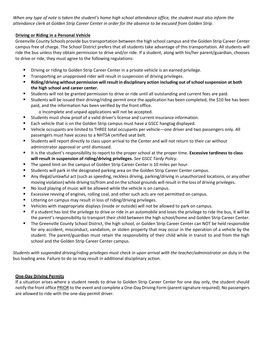*When any type of note is taken the student's home high school attendance office, the student must also inform the attendance clerk at Golden Strip Career Center in order for the absence to be excused from Golden Strip.* 

#### **Driving or Riding in a Personal Vehicle**

Greenville County Schools provide bustransportation between the high school campus and the Golden Strip Career Center campus free of charge. The School District prefers that all students take advantage of this transportation. All students will ride the bus unless they obtain permission to drive and/or ride. If a student, along with his/her parent/guardian, chooses to drive or ride, they must agree to the following regulations:

- Driving or riding to Golden Strip Career Center in a private vehicle is an earned privilege.
- Transporting an unapproved rider will result in suspension of driving privileges.
- **Riding/driving without permission willresultin disciplinary action including out ofschoolsuspension at both the high school and career center.**
- Students will not be granted permission to drive or ride until all outstanding and current fees are paid.
- Students will be issued their driving/riding permit once the application has been completed, the \$10 fee has been paid, and the information has been verified by the front office.
	- o Incomplete and unpaid applications will not be accepted.
- Students must show proof of a valid driver's license and current insurance information.
- Each vehicle that is on the Golden Strip campus must have a GSCC hangtag displayed.
- Vehicle occupants are limited to THREE total occupants per vehicle—one driver and two passengers only. All passengers must have access to a NHTSA certified seat belt.
- Students will report directly to class upon arrival to the Center and will not return to their car without administrator approval or until dismissed.
- It is the student's responsibility to report to the proper school at the proper time. **Excessive tardiness to class will result in suspension of riding/driving privileges.** *See GSCC Tardy Policy*.
- The speed limit on the campus of Golden Strip Career Center is 10 miles per hour.
- Students will park in the designated parking area on the Golden Strip Career Center campus.
- Any illegal/unlawful act (such as speeding, reckless driving, parking/driving in unauthorized locations, or any other moving violation) while driving to/from and on the school grounds willresult in the loss of driving privileges.
- No loud playing of music will be allowed while the vehicle is on campus.
- Excessive revving of engines, rolling coal, and other such acts are not permitted on campus.
- Littering on campus may result in loss of riding/driving privileges.
- Vehicles with inappropriate displays (inside or outside) will not be allowed to park on campus.
- If a student has lost the privilege to drive or ride in an automobile and loses the privilege to ride the bus, it will be the parent's responsibility to transport their child between the high school/home and Golden Strip Career Center.
- The Greenville County School District, the high school, or Golden Strip Career Center can NOT be held responsible for any accident, misconduct, vandalism, or stolen property that may occur in the operation of a vehicle by the student. The parent/guardian must retain the responsibility of their child while in transit to and from the high school and the Golden Strip Career Center campus.

*Students with suspended driving/riding privileges must check in upon arrival with the teacher/administrator on duty in the* bus loading area. Failure to do so may result in additional disciplinary action.

#### **One-Day Driving Permits**

If a situation arises where a student needs to drive to Golden Strip Career Center for one day only, the student should notify the front office PRIOR to the event and complete a One-Day Driving Form (parent signature required). No passengers are allowed to ride with the one-day permit driver.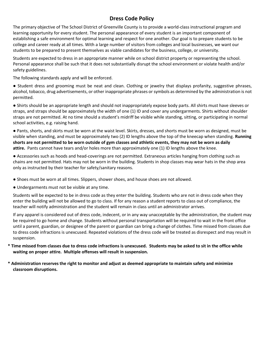## **Dress Code Policy**

The primary objective of The School District of Greenville County is to provide a world-class instructional program and learning opportunity for every student. The personal appearance of every student is an important component of establishing a safe environment for optimal learning and respect for one another. Our goal is to prepare students to be college and career ready at all times. With a large number of visitors from colleges and local businesses, we want our students to be prepared to present themselves as viable candidates for the business, college, or university.

Students are expected to dress in an appropriate manner while on school district property or representing the school. Personal appearance shall be such that it does not substantially disrupt the school environment or violate health and/or safety guidelines.

The following standards apply and will be enforced.

● Student dress and grooming must be neat and clean. Clothing or jewelry that displays profanity, suggestive phrases, alcohol, tobacco, drug advertisements, or other inappropriate phrases or symbols as determined by the administration is not permitted.

● Shirts should be an appropriate length and should not inappropriately expose body parts. All shirts must have sleeves or straps, and straps should be approximately the width of one (1) ID and cover any undergarments. Shirts without shoulder straps are not permitted. At no time should a student's midriff be visible while standing, sitting, or participating in normal school activities, e.g. raising hand.

● Pants, shorts, and skirts must be worn at the waist level. Skirts, dresses, and shorts must be worn as designed, must be visible when standing, and must be approximately two (2) ID lengths above the top of the kneecap when standing. **Running shorts are not permitted to be worn outside of gym classes and athletic events, they may not be worn as daily attire.** Pants cannot have tears and/or holes more than approximately one (1) ID lengths above the knee.

● Accessories such as hoods and head-coverings are not permitted. Extraneous articles hanging from clothing such as chains are not permitted. Hats may not be worn in the building. Students in shop classes may wear hats in the shop area only as instructed by their teacher for safety/sanitary reasons.

- Shoes must be worn at all times. Slippers, shower shoes, and house shoes are not allowed.
- Undergarments must not be visible at any time.

Students will be expected to be in dress code as they enter the building. Students who are not in dress code when they enter the building will not be allowed to go to class. If for any reason a student reports to class out of compliance, the teacher will notify administration and the student will remain in class until an administrator arrives.

If any apparel is considered out of dress code, indecent, or in any way unacceptable by the administration, the student may be required to go home and change. Students without personal transportation will be required to wait in the front office until a parent, guardian, or designee of the parent or guardian can bring a change of clothes. Time missed from classes due to dress code infractions is unexcused. Repeated violations of the dress code will be treated as disrespect and may result in suspension.

- **\* Time missed from classes due to dress code infractions is unexcused. Students may be asked to sit in the office while waiting on proper attire. Multiple offenses will result in suspension.**
- **\* Administration reserves the right to monitor and adjust as deemed appropriate to maintain safety and minimize classroom disruptions.**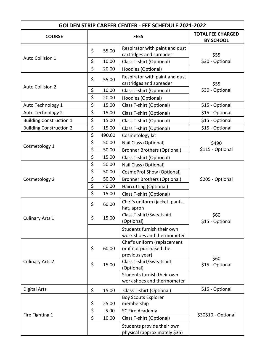| <b>COURSE</b>                  | <b>FEES</b> |        |                                                                          | <b>TOTAL FEE CHARGED</b><br><b>BY SCHOOL</b> |
|--------------------------------|-------------|--------|--------------------------------------------------------------------------|----------------------------------------------|
| <b>Auto Collision 1</b>        | \$          | 55.00  | Respirator with paint and dust<br>cartridges and spreader                | \$55                                         |
|                                | \$          | 10.00  | Class T-shirt (Optional)                                                 | \$30 - Optional                              |
|                                | \$          | 20.00  | Hoodies (Optional)                                                       |                                              |
| <b>Auto Collision 2</b>        | \$          | 55.00  | Respirator with paint and dust<br>cartridges and spreader                | \$55                                         |
|                                | \$          | 10.00  | Class T-shirt (Optional)                                                 | \$30 - Optional                              |
|                                | \$          | 20.00  | Hoodies (Optional)                                                       |                                              |
| Auto Technology 1              | \$          | 15.00  | Class T-shirt (Optional)                                                 | \$15 - Optional                              |
| Auto Technology 2              | \$          | 15.00  | Class T-shirt (Optional)                                                 | \$15 - Optional                              |
| <b>Building Construction 1</b> | \$          | 15.00  | Class T-shirt (Optional)                                                 | \$15 - Optional                              |
| <b>Building Construction 2</b> | \$          | 15.00  | Class T-shirt (Optional)                                                 | \$15 - Optional                              |
|                                | \$          | 490.00 | Cosmetology kit                                                          |                                              |
|                                | \$          | 50.00  | Nail Class (Optional)                                                    | \$490                                        |
| Cosmetology 1                  | \$          | 50.00  | <b>Bronner Brothers (Optional)</b>                                       | \$115 - Optional                             |
|                                | \$          | 15.00  | Class T-shirt (Optional)                                                 |                                              |
|                                | \$          | 50.00  | Nail Class (Optional)                                                    |                                              |
|                                | \$          | 50.00  | <b>CosmoProf Show (Optional)</b>                                         |                                              |
| Cosmetology 2                  | \$          | 50.00  | <b>Bronner Brothers (Optional)</b>                                       | \$205 - Optional                             |
|                                | \$          | 40.00  | Haircutting (Optional)                                                   |                                              |
|                                | \$          | 15.00  | Class T-shirt (Optional)                                                 |                                              |
|                                | \$          | 60.00  | Chef's uniform (jacket, pants,<br>hat, apron                             |                                              |
| <b>Culinary Arts 1</b>         | \$          | 15.00  | Class T-shirt/Sweatshirt<br>(Optional)                                   | \$60<br>\$15 - Optional                      |
|                                |             |        | Students furnish their own<br>work shoes and thermometer                 |                                              |
| <b>Culinary Arts 2</b>         | \$          | 60.00  | Chef's uniform (replacement<br>or if not purchased the<br>previous year) |                                              |
|                                | \$          | 15.00  | Class T-shirt/Sweatshirt<br>(Optional)                                   | \$60<br>\$15 - Optional                      |
|                                |             |        | Students furnish their own<br>work shoes and thermometer                 |                                              |
| <b>Digital Arts</b>            | \$          | 15.00  | Class T-shirt (Optional)                                                 | \$15 - Optional                              |
|                                |             |        | <b>Boy Scouts Explorer</b>                                               |                                              |
| Fire Fighting 1                | \$          | 25.00  | membership                                                               |                                              |
|                                | \$          | 5.00   | SC Fire Academy                                                          |                                              |
|                                | \$          | 10.00  | Class T-shirt (Optional)                                                 | \$30\$10 - Optional                          |
|                                |             |        | Students provide their own<br>physical (approximately \$35)              |                                              |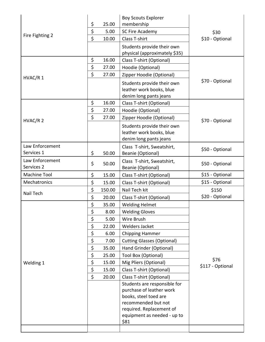| Fire Fighting 2 | \$<br>25.00  | <b>Boy Scouts Explorer</b><br>membership                    |                          |
|-----------------|--------------|-------------------------------------------------------------|--------------------------|
|                 | \$<br>5.00   | SC Fire Academy                                             | \$30                     |
|                 | \$<br>10.00  | Class T-shirt                                               | \$10 - Optional          |
|                 |              |                                                             |                          |
|                 |              | Students provide their own<br>physical (approximately \$35) |                          |
|                 | \$<br>16.00  | Class T-shirt (Optional)                                    |                          |
|                 | \$<br>27.00  | Hoodie (Optional)                                           |                          |
|                 | \$<br>27.00  | Zipper Hoodie (Optional)                                    | \$70 - Optional          |
| HVAC/R 1        |              |                                                             |                          |
|                 |              | Students provide their own<br>leather work books, blue      |                          |
|                 |              | denim long pants jeans                                      |                          |
|                 | \$<br>16.00  | Class T-shirt (Optional)                                    |                          |
|                 | \$<br>27.00  | Hoodie (Optional)                                           |                          |
|                 | \$<br>27.00  | Zipper Hoodie (Optional)                                    |                          |
| HVAC/R 2        |              | Students provide their own                                  | \$70 - Optional          |
|                 |              | leather work books, blue                                    |                          |
|                 |              | denim long pants jeans                                      |                          |
| Law Enforcement |              | Class T-shirt, Sweatshirt,                                  |                          |
| Services 1      | \$<br>50.00  | Beanie (Optional)                                           | \$50 - Optional          |
| Law Enforcement |              | Class T-shirt, Sweatshirt,                                  |                          |
| Services 2      | \$<br>50.00  | Beanie (Optional)                                           | \$50 - Optional          |
| Machine Tool    | \$<br>15.00  | Class T-shirt (Optional)                                    | \$15 - Optional          |
| Mechatronics    | \$<br>15.00  | Class T-shirt (Optional)                                    | \$15 - Optional          |
| Nail Tech       | \$<br>150.00 | Nail Tech kit                                               | \$150                    |
|                 | \$<br>20.00  | Class T-shirt (Optional)                                    | \$20 - Optional          |
|                 | \$<br>35.00  | <b>Welding Helmet</b>                                       |                          |
|                 | \$<br>8.00   | <b>Welding Gloves</b>                                       |                          |
|                 | \$<br>5.00   | Wire Brush                                                  |                          |
|                 | \$<br>22.00  | <b>Welders Jacket</b>                                       |                          |
|                 | \$<br>6.00   | <b>Chipping Hammer</b>                                      |                          |
|                 | \$<br>7.00   | <b>Cutting Glasses (Optional)</b>                           |                          |
|                 | \$<br>35.00  | Hand Grinder (Optional)                                     |                          |
|                 | \$<br>25.00  | Tool Box (Optional)                                         |                          |
| Welding 1       | \$<br>15.00  | Mig Pliers (Optional)                                       | \$76<br>\$117 - Optional |
|                 | \$<br>15.00  | Class T-shirt (Optional)                                    |                          |
|                 | \$<br>20.00  | Class T-shirt (Optional)                                    |                          |
|                 |              | Students are responsible for                                |                          |
|                 |              | purchase of leather work                                    |                          |
|                 |              | books, steel toed are                                       |                          |
|                 |              | recommended but not                                         |                          |
|                 |              | required. Replacement of<br>equipment as needed - up to     |                          |
|                 |              | \$81                                                        |                          |
|                 |              |                                                             |                          |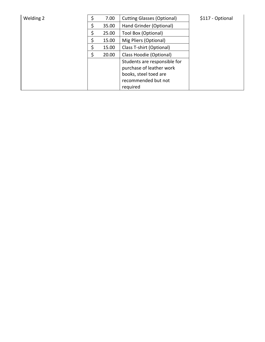| Welding 2 |   | 7.00  | <b>Cutting Glasses (Optional)</b> | \$117 - Optional |
|-----------|---|-------|-----------------------------------|------------------|
|           |   | 35.00 | Hand Grinder (Optional)           |                  |
|           | Ś | 25.00 | Tool Box (Optional)               |                  |
|           |   | 15.00 | Mig Pliers (Optional)             |                  |
|           |   | 15.00 | Class T-shirt (Optional)          |                  |
|           |   | 20.00 | Class Hoodie (Optional)           |                  |
|           |   |       | Students are responsible for      |                  |
|           |   |       | purchase of leather work          |                  |
|           |   |       | books, steel toed are             |                  |
|           |   |       | recommended but not               |                  |
|           |   |       | required                          |                  |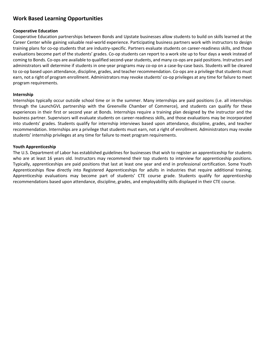## **Work Based Learning Opportunities**

#### **Cooperative Education**

Cooperative Education partnerships between Bonds and Upstate businesses allow students to build on skills learned at the Career Center while gaining valuable real-world experience. Participating business partners work with instructors to design training plans for co-op students that are industry-specific. Partners evaluate students on career-readiness skills, and those evaluations become part of the students' grades. Co-op students can report to a work site up to four days a week instead of coming to Bonds. Co-ops are available to qualified second-year students, and many co-ops are paid positions. Instructors and administrators will determine if students in one-year programs may co-op on a case-by-case basis. Students will be cleared to co-op based upon attendance, discipline, grades, and teacher recommendation. Co-ops are a privilege that students must earn, not a right of program enrollment. Administrators may revoke students' co-op privileges at any time for failure to meet program requirements.

#### **Internship**

Internships typically occur outside school time or in the summer. Many internships are paid positions (i.e. all internships through the LaunchGVL partnership with the Greenville Chamber of Commerce), and students can qualify for these experiences in their first or second year at Bonds. Internships require a training plan designed by the instructor and the business partner. Supervisors will evaluate students on career-readiness skills, and those evaluations may be incorporated into students' grades. Students qualify for internship interviews based upon attendance, discipline, grades, and teacher recommendation. Internships are a privilege that students must earn, not a right of enrollment. Administrators may revoke students' internship privileges at any time for failure to meet program requirements.

#### **Youth Apprenticeship**

The U.S. Department of Labor has established guidelines for businesses that wish to register an apprenticeship for students who are at least 16 years old. Instructors may recommend their top students to interview for apprenticeship positions. Typically, apprenticeships are paid positions that last at least one year and end in professional certification. Some Youth Apprenticeships flow directly into Registered Apprenticeships for adults in industries that require additional training. Apprenticeship evaluations may become part of students' CTE course grade. Students qualify for apprenticeship recommendations based upon attendance, discipline, grades, and employability skills displayed in their CTE course.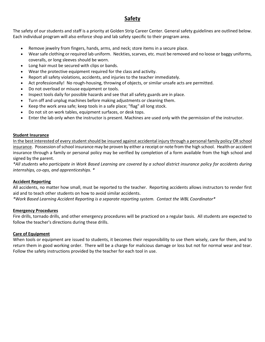## **Safety**

The safety of our students and staff is a priority at Golden Strip Career Center. General safety guidelines are outlined below. Each individual program will also enforce shop and lab safety specific to their program area.

- Remove jewelry from fingers, hands, arms, and neck; store items in a secure place.
- Wear safe clothing or required lab uniform. Neckties, scarves, etc. must be removed and no loose or baggy uniforms, coveralls, or long sleeves should be worn.
- Long hair must be secured with clips or bands.
- Wear the protective equipment required for the class and activity.
- Report all safety violations, accidents, and injuries to the teacher immediately.
- Act professionally! No rough-housing, throwing of objects, or similar unsafe acts are permitted.
- Do not overload or misuse equipment or tools.
- Inspect tools daily for possible hazards and see that all safety guards are in place.
- Turn off and unplug machines before making adjustments or cleaning them.
- Keep the work area safe; keep tools in a safe place; "flag" all long stock.
- Do not sit on work tables, equipment surfaces, or desk tops.
- Enter the lab only when the instructor is present. Machines are used only with the permission of the instructor.

#### **Student Insurance**

In the best interested of every student should be insured against accidental injury through a personal family policy OR school insurance. Possession of school insurance may be proven by either a receipt or note from the high school. Health or accident insurance through a family or personal policy may be verified by completion of a form available from the high school and signed by the parent.

*\*All students who participate in Work Based Learning are covered by a school district insurance policy for accidents during internships, co-ops, and apprenticeships. \**

#### **Accident Reporting**

All accidents, no matter how small, must be reported to the teacher. Reporting accidents allows instructors to render first aid and to teach other students on how to avoid similar accidents.

*\*Work Based Learning Accident Reporting is a separate reporting system. Contact the WBL Coordinator\**

#### **Emergency Procedures**

Fire drills, tornado drills, and other emergency procedures will be practiced on a regular basis. All students are expected to follow the teacher's directions during these drills.

#### **Care of Equipment**

When tools or equipment are issued to students, it becomes their responsibility to use them wisely, care for them, and to return them in good working order. There will be a charge for malicious damage or loss but not for normal wear and tear. Follow the safety instructions provided by the teacher for each tool in use.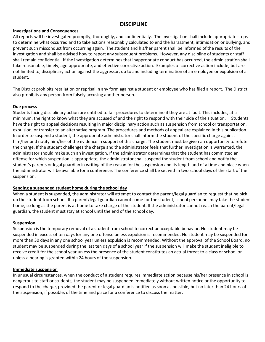## **DISCIPLINE**

#### **Investigations and Consequences**

All reports will be investigated promptly, thoroughly, and confidentially. The investigation shall include appropriate steps to determine what occurred and to take actions reasonably calculated to end the harassment, intimidation or bullying, and prevent such misconduct from occurring again. The student and his/her parent shall be informed of the results of the investigation and shall be advised how to report any subsequent problems. However, any discipline of students or staff shall remain confidential. If the investigation determines that inappropriate conduct has occurred, the administration shall take reasonable, timely, age-appropriate, and effective corrective action. Examples of corrective action include, but are not limited to, disciplinary action against the aggressor, up to and including termination of an employee or expulsion of a student.

The District prohibits retaliation or reprisal in any form against a student or employee who has filed a report. The District also prohibits any person from falsely accusing another person.

#### **Due process**

Students facing disciplinary action are entitled to fair procedures to determine if they are at fault. This includes, at a minimum, the right to know what they are accused of and the right to respond with their side of the situation. Students have the right to appeal decisions resulting in major disciplinary action such as suspension from school or transportation, expulsion, or transfer to an alternative program. The procedures and methods of appeal are explained in this publication. In order to suspend a student, the appropriate administrator shall inform the student of the specific charge against him/her and notify him/her of the evidence in support of this charge. The student must be given an opportunity to refute the charge. If the student challenges the charge and the administrator feels that further investigation is warranted, the administrator should make such an investigation. If the administrator determines that the student has committed an offense for which suspension is appropriate, the administrator shall suspend the student from school and notify the student's parents or legal guardian in writing of the reason for the suspension and its length and of a time and place when the administrator will be available for a conference. The conference shall be set within two school days of the start of the suspension.

#### **Sending a suspended student home during the school day**

When a student is suspended, the administrator will attempt to contact the parent/legal guardian to request that he pick up the student from school. If a parent/legal guardian cannot come for the student, school personnel may take the student home, so long as the parent is at home to take charge of the student. If the administrator cannot reach the parent/legal guardian, the student must stay at school until the end of the school day.

#### **Suspension**

Suspension is the temporary removal of a student from school to correct unacceptable behavior. No student may be suspended in excess of ten days for any one offense unless expulsion is recommended. No student may be suspended for more than 30 days in any one school year unless expulsion is recommended. Without the approval of the School Board, no student may be suspended during the last ten days of a school year if the suspension will make the student ineligible to receive credit for the school year unless the presence of the student constitutes an actual threat to a class or school or unless a hearing is granted within 24 hours of the suspension.

#### **Immediate suspension**

In unusual circumstances, when the conduct of a student requires immediate action because his/her presence in school is dangerous to staff or students, the student may be suspended immediately without written notice or the opportunity to respond to the charge, provided the parent or legal guardian is notified as soon as possible, but no later than 24 hours of the suspension, if possible, of the time and place for a conference to discuss the matter.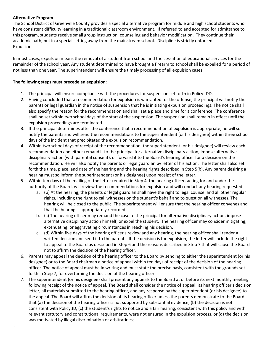#### **Alternative Program**

.

The School District of Greenville County provides a special alternative program for middle and high school students who have consistent difficulty learning in a traditional classroom environment. If referred to and accepted for admittance to this program, students receive small group instruction, counseling and behavior modification. They continue their academic path, but in a special setting away from the mainstream school. Discipline is strictly enforced. Expulsion

In most cases, expulsion means the removal of a student from school and the cessation of educational services for the remainder of the school year. Any student determined to have brought a firearm to school shall be expelled for a period of not less than one year. The superintendent will ensure the timely processing of all expulsion cases.

#### **The following steps must precede an expulsion:**

- 1. The principal will ensure compliance with the procedures for suspension set forth in Policy JDD.
- 2. Having concluded that a recommendation for expulsion is warranted for the offense, the principal will notify the parents or legal guardian in the notice of suspension that he is initiating expulsion proceedings. The notice shall also specify the reason for the recommendation and shall set a place and time for a conference. The conference shall be set within two school days of the start of the suspension. The suspension shall remain in effect until the expulsion proceedings are terminated.
- 3. If the principal determines after the conference that a recommendation of expulsion is appropriate, he will so notify the parents and will send the recommendations to the superintendent (or his designee) within three school days of the incident that precipitated the expulsion recommendation.
- 4. Within two school days of receipt of the recommendation, the superintendent (or his designee) will review each recommendation and either remand it to the principal for alternative disciplinary action, impose alternative disciplinary action (with parental consent), or forward it to the Board's hearing officer for a decision on the recommendation. He will also notify the parents or legal guardian by letter of his action. The letter shall also set forth the time, place, and date of the hearing and the hearing rights described in Step 5(b). Any parent desiring a hearing must so inform the superintendent (or his designee) upon receipt of the letter.
- 5. Within ten days of the mailing of the letter required in Step 4, the hearing officer, acting for and under the authority of the Board, will review the recommendations for expulsion and will conduct any hearing requested.
	- a. (b) At the hearing, the parents or legal guardian shall have the right to legal counsel and all other regular rights, including the right to call witnesses on the student's behalf and to question all witnesses. The hearing will be closed to the public. The superintendent will ensure that the hearing officer convenes and that the hearing is appropriately recorded.
	- b. (c) The hearing officer may remand the case to the principal for alternative disciplinary action, impose alternative disciplinary action himself, or expel the student. The hearing officer may consider mitigating, extenuating, or aggravating circumstances in reaching his decision.
	- c. (d) Within five days of the hearing officer's review and any hearing, the hearing officer shall render a written decision and send it to the parents. If the decision is for expulsion, the letter will include the right to appeal to the Board as described in Step 6 and the reasons described in Step 7 that will cause the Board not to affirm the decision of the hearing officer.
- 6. Parents may appeal the decision of the hearing officer to the Board by sending to either the superintendent (or his designee) or to the Board chairman a notice of appeal within ten days of receipt of the decision of the hearing officer. The notice of appeal must be in writing and must state the precise basis, consistent with the grounds set forth in Step 7, for overturning the decision of the hearing officer.
- 7. The superintendent (or his designee) shall present any appeals to the Board at or before its next monthly meeting following receipt of the notice of appeal. The Board shall consider the notice of appeal, its hearing officer's decision letter, all materials submitted to the hearing officer, and any response by the superintendent (or his designee) to the appeal. The Board will affirm the decision of its hearing officer unless the parents demonstrate to the Board that (a) the decision of the hearing officer is not supported by substantial evidence, (b) the decision is not consistent with Policy JD, (c) the student's rights to notice and a fair hearing, consistent with this policy and with relevant statutory and constitutional requirements, were not ensured in the expulsion process, or (d) the decision was motivated by illegal discrimination or arbitrariness.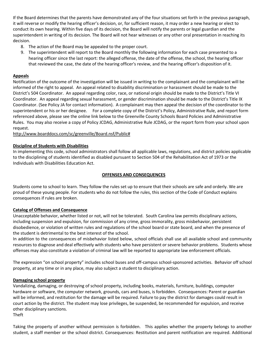If the Board determines that the parents have demonstrated any of the four situations set forth in the previous paragraph, it will reverse or modify the hearing officer's decision, or, for sufficient reason, it may order a new hearing or elect to conduct its own hearing. Within five days of its decision, the Board will notify the parents or legal guardian and the superintendent in writing of its decision. The Board will not hear witnesses or any other oral presentation in reaching its decision.

- 8. The action of the Board may be appealed to the proper court.
- 9. The superintendent will report to the Board monthly the following information for each case presented to a hearing officer since the last report: the alleged offense, the date of the offense, the school, the hearing officer that reviewed the case, the date of the hearing officer's review, and the hearing officer's disposition of it.

#### **Appeals**

Notification of the outcome of the investigation will be issued in writing to the complainant and the complainant will be informed of the right to appeal. An appeal related to disability discrimination or harassment should be made to the District's 504 Coordinator. An appeal regarding color, race, or national origin should be made to the District's Title VI Coordinator. An appeal regarding sexual harassment, or gender discrimination should be made to the District's Title IX Coordinator. (See Policy JA for contact information). A complainant may then appeal the decision of the coordinator to the superintendent or his or her designee. For a complete copy of the District's Policy, Administrative Rule, and report form referenced above, please see the online link below to the Greenville County Schools Board Policies and Administrative Rules. You may also receive a copy of Policy JCDAG, Administrative Rule JCDAG, or the report form from your school upon request.

[http://www.boarddocs.com/sc/greenville/Board.nsf/Public#](http://www.boarddocs.com/sc/greenville/Board.nsf/Public) 

#### **Discipline of Students with Disabilities**

In implementing this code, school administrators shall follow all applicable laws, regulations, and district policies applicable to the disciplining of students identified as disabled pursuant to Section 504 of the Rehabilitation Act of 1973 or the Individuals with Disabilities Education Act.

#### **OFFENSES AND CONSEQUENCES**

Students come to school to learn. They follow the rules set up to ensure that their schools are safe and orderly. We are proud of these young people. For students who do not follow the rules, this section of the Code of Conduct explains consequences if rules are broken.

#### **Catalog of Offenses and Consequence**

Unacceptable behavior, whether listed or not, will not be tolerated. South Carolina law permits disciplinary actions, including suspension and expulsion, for commission of any crime, gross immorality, gross misbehavior, persistent disobedience, or violation of written rules and regulations of the school board or state board, and when the presence of the student is detrimental to the best interest of the school.

In addition to the consequences of misbehavior listed below, school officials shall use all available school and community resources to diagnose and deal effectively with students who have persistent or severe behavior problems. Students whose offenses may also constitute a violation of criminal law will be reported to appropriate law enforcement officials.

The expression "on school property" includes school buses and off-campus school-sponsored activities. Behavior off school property, at any time or in any place, may also subject a student to disciplinary action.

#### **Damaging school property**

Vandalizing, damaging, or destroying of school property, including books, materials, furniture, buildings, computer hardware or software, the computer network, grounds, cars and buses, is forbidden. Consequences: Parent or guardian will be informed, and restitution for the damage will be required. Failure to pay the district for damages could result in court action by the district. The student may lose privileges, be suspended, be recommended for expulsion, and receive other disciplinary sanctions. Theft

Taking the property of another without permission is forbidden. This applies whether the property belongs to another student, a staff member or the school district. Consequences: Restitution and parent notification are required. Additional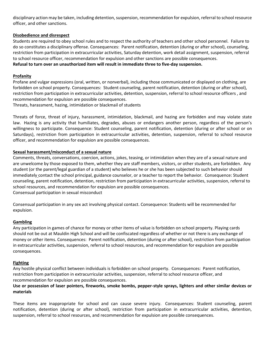disciplinary action may be taken, including detention, suspension, recommendation for expulsion, referral to school resource officer, and other sanctions.

#### **Disobedience and disrespect**

Students are required to obey school rules and to respect the authority of teachers and other school personnel. Failure to do so constitutes a disciplinary offense. Consequences: Parent notification, detention (during or after school), counseling, restriction from participation in extracurricular activities, Saturday detention, work detail assignment, suspension, referral to school resource officer, recommendation for expulsion and other sanctions are possible consequences.

#### **Refusal to turn over an unauthorized item will result in immediate three to five-day suspension.**

#### **Profanity**

Profane and vulgar expressions (oral, written, or nonverbal), including those communicated or displayed on clothing, are forbidden on school property. Consequences: Student counseling, parent notification, detention (during or after school), restriction from participation in extracurricular activities, detention, suspension, referral to school resource officers , and recommendation for expulsion are possible consequences.

Threats, harassment, hazing, intimidation or blackmail of students

Threats of force, threat of injury, harassment, intimidation, blackmail, and hazing are forbidden and may violate state law. Hazing is any activity that humiliates, degrades, abuses or endangers another person, regardless of the person's willingness to participate. Consequence: Student counseling, parent notification, detention (during or after school or on Saturdays), restriction from participation in extracurricular activities, detention, suspension, referral to school resource officer, and recommendation for expulsion are possible consequences.

#### **Sexual harassment/misconduct of a sexual nature**

Comments, threats, conversations, coercion, actions, jokes, teasing, or intimidation when they are of a sexual nature and are unwelcome by those exposed to them, whether they are staff members, visitors, or other students, are forbidden. Any student (or the parent/legal guardian of a student) who believes he or she has been subjected to such behavior should immediately contact the school principal, guidance counselor, or a teacher to report the behavior. Consequence: Student counseling, parent notification, detention, restriction from participation in extracurricular activities, suspension, referral to school resources, and recommendation for expulsion are possible consequences. Consensual participation in sexual misconduct

Consensual participation in any sex act involving physical contact. Consequence: Students will be recommended for expulsion.

#### **Gambling**

Any participation in games of chance for money or other items of value is forbidden on school property. Playing cards should not be out at Mauldin High School and will be confiscated regardless of whether or not there is any exchange of money or other items. Consequences: Parent notification, detention (during or after school), restriction from participation in extracurricular activities, suspension, referral to school resources, and recommendation for expulsion are possible consequences.

#### **Fighting**

Any hostile physical conflict between individuals is forbidden on school property. Consequences: Parent notification, restriction from participation in extracurricular activities, suspension, referral to school resource officer, and recommendation for expulsion are possible consequences.

#### **Use or possession of laser pointers, fireworks, smoke bombs, pepper-style sprays, lighters and other similar devices or materials**

These items are inappropriate for school and can cause severe injury. Consequences: Student counseling, parent notification, detention (during or after school), restriction from participation in extracurricular activities, detention, suspension, referral to school resources, and recommendation for expulsion are possible consequences.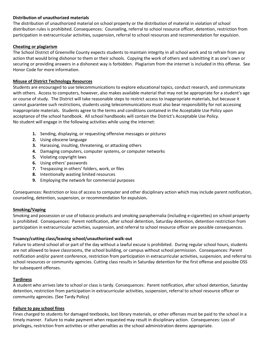#### **Distribution of unauthorized materials**

The distribution of unauthorized material on school property or the distribution of material in violation of school distribution rules is prohibited. Consequences: Counseling, referral to school resource officer, detention, restriction from participation in extracurricular activities, suspension, referral to school resources and recommendation for expulsion.

#### **Cheating or plagiarism**

The School District of Greenville County expects students to maintain integrity in all school work and to refrain from any action that would bring dishonor to them or their schools. Copying the work of others and submitting it as one's own or securing or providing answers in a dishonest way is forbidden. Plagiarism from the internet is included in this offense. See Honor Code for more information.

#### **Misuse of District Technology Resources**

Students are encouraged to use telecommunications to explore educational topics, conduct research, and communicate with others. Access to computers, however, also makes available material that may not be appropriate for a student's age or course of study. The District will take reasonable steps to restrict access to inappropriate materials, but because it cannot guarantee such restrictions, students using telecommunications must also bear responsibility for not accessing inappropriate materials. Students agree to the terms and conditions contained in the Acceptable Use Policy upon acceptance of the school handbook. All school handbooks will contain the District's Acceptable Use Policy. No student will engage in the following activities while using the internet:

- **1.** Sending, displaying, or requesting offensive messages or pictures
- **2.** Using obscene language
- **3.** Harassing, insulting, threatening, or attacking others
- **4.** Damaging computers, computer systems, or computer networks
- **5.** Violating copyright laws
- **6.** Using others' passwords
- **7.** Trespassing in others' folders, work, or files
- **8.** Intentionally wasting limited resources
- **9.** Employing the network for commercial purposes

Consequences: Restriction or loss of access to computer and other disciplinary action which may include parent notification, counseling, detention, suspension, or recommendation for expulsion**.**

#### **Smoking/Vaping**

Smoking and possession or use of tobacco products and smoking paraphernalia (including e-cigarettes) on school property is prohibited. Consequences: Parent notification, after school detention, Saturday detention, detention restriction from participation in extracurricular activities, suspension, and referral to school resource officer are possible consequences.

#### **Truancy/cutting class/leaving school/unauthorized walk-out**

Failure to attend school all or part of the day without a lawful excuse is prohibited. During regular school hours, students are not allowed to leave classrooms, the school building, or campus without school permission. Consequences: Parent notification and/or parent conference, restriction from participation in extracurricular activities, suspension, and referral to school resources or community agencies. Cutting class results in Saturday detention for the first offense and possible OSS for subsequent offenses.

#### **Tardiness**

A student who arrives late to school or class is tardy. Consequences: Parent notification, after school detention, Saturday detention, restriction from participation in extracurricular activities, suspension, referral to school resource officer or community agencies. (See Tardy Policy)

#### **Failure to pay school fines**

Fines charged to students for damaged textbooks, lost library materials, or other offenses must be paid to the school in a timely manner. Failure to make payment when requested may result in disciplinary action. Consequences: Loss of privileges, restriction from activities or other penalties as the school administration deems appropriate.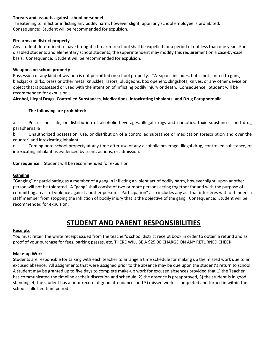#### **Threats and assaults against school personnel**

Threatening to inflict or inflicting any bodily harm, however slight, upon any school employee is prohibited. Consequence: Student will be recommended for expulsion.

#### **Firearms on district property**

Any student determined to have brought a firearm to school shall be expelled for a period of not less than one year. For disabled students and elementary school students, the superintendent may modify this requirement on a case-by-case basis. Consequence: Student will be recommended for expulsion.

#### **Weapons on school property**

Possession of any kind of weapon is not permitted on school property. "Weapon" includes, but is not limited to guns, blackjacks, dirks, brass or other metal knuckles, razors, bludgeons, box openers, slingshots, knives, or any other device or object that is possessed or used with the intention of inflicting bodily injury or death. Consequence: Student will be recommended for expulsion.

#### **Alcohol, Illegal Drugs, Controlled Substances, Medications, Intoxicating Inhalants, and Drug Paraphernalia**

#### **The following are prohibited:**

a. Possession, sale, or distribution of alcoholic beverages, illegal drugs and narcotics, toxic substances, and drug paraphernalia

b. Unauthorized possession, use, or distribution of a controlled substance or medication (prescription and over the counter) and intoxicating inhalant

c. Coming onto school property at any time after use of any alcoholic beverage, illegal drug, controlled substance, or intoxicating inhalant as evidenced by scent, actions, or admission.

**Consequence**: Student will be recommended for expulsion.

#### **Ganging**

"Ganging" or participating as a member of a gang in inflicting a violent act of bodily harm, however slight, upon another person will not be tolerated. A "gang" shall consist of two or more persons acting together for and with the purpose of committing an act of violence against another person. "Participation" also includes any act that interferes with or hinders a staff member from stopping the infliction of bodily injury that is the objective of the gang. Consequence: Student will be recommended for expulsion.

# **STUDENT AND PARENT RESPONSIBILITIES**

#### **Receipts**

You must retain the white receipt issued from the teacher's school district receipt book in order to obtain a refund and as proof of your purchase for fees, parking passes, etc. THERE WILL BE A \$25.00 CHARGE ON ANY RETURNED CHECK.

#### **Make-up Work**

Students are responsible for talking with each teacher to arrange a time schedule for making up the missed work due to an excused absence. All assignments that were assigned prior to the absence may be due upon the student's return to school. A student may be granted up to five days to complete make-up work for excused absences provided that 1) the Teacher has communicated the timeline at their discretion and schedule, 2) the absence is preapproved, 3) the student is in good standing, 4) the student has a prior record of good attendance, and 5) missed work is completed and turned in within the school's allotted time period.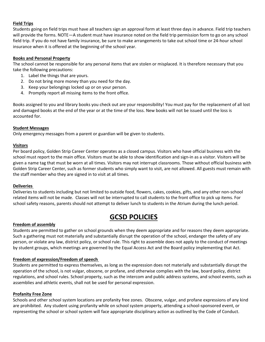#### **Field Trips**

Students going on field trips must have all teachers sign an approval form at least three days in advance. Field trip teachers will provide the forms. NOTE—A student must have insurance noted on the field trip permission form to go on any school field trip. If you do not have family insurance, be sure to make arrangements to take out school time or 24-hour school insurance when it is offered at the beginning of the school year.

#### **Books and Personal Property**

The school cannot be responsible for any personal items that are stolen or misplaced. It is therefore necessary that you take the following precautions:

- 1. Label the things that are yours.
- 2. Do not bring more money than you need for the day.
- 3. Keep your belongings locked up or on your person.
- 4. Promptly report all missing items to the front office.

Books assigned to you and library books you check out are your responsibility! You must pay for the replacement of all lost and damaged books at the end of the year or at the time of the loss. New books will not be issued until the loss is accounted for.

#### **Student Messages**

Only emergency messages from a parent or guardian will be given to students.

#### **Visitors**

Per board policy, Golden Strip Career Center operates as a closed campus. Visitors who have official business with the school must report to the main office. Visitors must be able to show identification and sign-in as a visitor. Visitors will be given a name tag that must be worn at all times. Visitors may not interrupt classrooms. Those without official business with Golden Strip Career Center, such as former students who simply want to visit, are not allowed. All guests must remain with the staff member who they are signed in to visit at all times.

#### **Deliveries**

Deliveries to students including but not limited to outside food, flowers, cakes, cookies, gifts, and any other non-school related items will not be made. Classes will not be interrupted to call students to the front office to pick up items. For school safety reasons, parents should not attempt to deliver lunch to students in the Atrium during the lunch period.

# **GCSD POLICIES**

#### **Freedom of assembly**

Students are permitted to gather on school grounds when they deem appropriate and for reasons they deem appropriate. Such a gathering must not materially and substantially disrupt the operation of the school, endanger the safety of any person, or violate any law, district policy, or school rule. This right to assemble does not apply to the conduct of meetings by student groups, which meetings are governed by the Equal Access Act and the Board policy implementing that Act.

#### **Freedom of expression/Freedom of speech**

Students are permitted to express themselves, as long as the expression does not materially and substantially disrupt the operation of the school, is not vulgar, obscene, or profane, and otherwise complies with the law, board policy, district regulations, and school rules. School property, such as the intercom and public address systems, and school events, such as assemblies and athletic events, shall not be used for personal expression.

#### **Profanity Free Zone**

Schools and other school system locations are profanity free zones. Obscene, vulgar, and profane expressions of any kind are prohibited. Any student using profanity while on school system property, attending a school-sponsored event, or representing the school or school system will face appropriate disciplinary action as outlined by the Code of Conduct.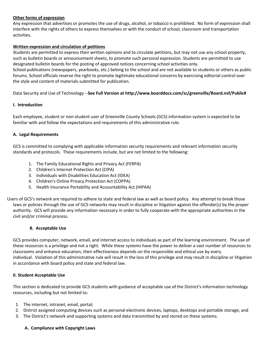#### **Other forms of expression**

Any expression that advertises or promotes the use of drugs, alcohol, or tobacco is prohibited. No form of expression shall interfere with the rights of others to express themselves or with the conduct of school, classroom and transportation activities.

#### **Written expression and circulation of petitions**

Students are permitted to express their written opinions and to circulate petitions, but may not use any school property, such as bulletin boards or announcement sheets, to promote such personal expression. Students are permitted to use designated bulletin boards for the posting of approved notices concerning school activities only.

School publications (newspapers, yearbooks, etc.) belong to the school and are not available to students or others as public forums. School officials reserve the right to promote legitimate educational concerns by exercising editorial control over the style and content of materials submitted for publication.

Data Security and Use of Technology --**See Full Version at http://www.boarddocs.com/sc/greenville/Board.nsf/Public#**

#### **I. Introduction**

Each employee, student or non-student user of Greenville County Schools (GCS) information system is expected to be familiar with and follow the expectations and requirements of this administrative rule.

#### **A. Legal Requirements**

GCS is committed to complying with applicable information security requirements and relevant information security standards and protocols. These requirements include, but are not limited to the following:

- 1. The Family Educational Rights and Privacy Act (FERPA)
- 2. Children's Internet Protection Act (CIPA)
- 3. Individuals with Disabilities Education Act (IDEA)
- 4. Children's Online Privacy Protection Act (COPPA)
- 5. Health Insurance Portability and Accountability Act (HIPAA)

Users of GCS's network are required to adhere to state and federal law as well as board policy. Any attempt to break those laws or policies through the use of GCS networks may result in discipline or litigation against the offender(s) by the proper authority. GCS will provide any information necessary in order to fully cooperate with the appropriate authorities in the civil and/or criminal process.

#### **B. Acceptable Use**

GCS provides computer, network, email, and internet access to individuals as part of the learning environment. The use of these resources is a privilege and not a right. While these systems have the power to deliver a vast number of resources to classrooms and enhance education, their effectiveness depends on the responsible and ethical use by every individual. Violation of this administrative rule will result in the loss of this privilege and may result in discipline or litigation in accordance with board policy and state and federal law.

#### **II. Student Acceptable Use**

This section is dedicated to provide GCS students with guidance of acceptable use of the District's information technology resources, including but not limited to:

- 1. The internet, intranet, email, portal;
- 2. District assigned computing devices such as personal electronic devices, laptops, desktops and portable storage; and
- 3. The District's network and supporting systems and data transmitted by and stored on these systems.

#### **A. Compliance with Copyright Laws**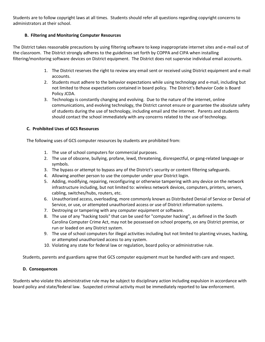Students are to follow copyright laws at all times. Students should refer all questions regarding copyright concerns to administrators at their school.

#### **B. Filtering and Monitoring Computer Resources**

The District takes reasonable precautions by using filtering software to keep inappropriate internet sites and e-mail out of the classroom. The District strongly adheres to the guidelines set forth by COPPA and CIPA when installing filtering/monitoring software devices on District equipment. The District does not supervise individual email accounts.

- 1. The District reserves the right to review any email sent or received using District equipment and e-mail accounts.
- 2. Students must adhere to the behavior expectations while using technology and e-mail, including but not limited to those expectations contained in board policy. The District's Behavior Code is Board Policy JCDA.
- 3. Technology is constantly changing and evolving. Due to the nature of the internet, online communications, and evolving technology, the District cannot ensure or guarantee the absolute safety of students during the use of technology, including email and the internet. Parents and students should contact the school immediately with any concerns related to the use of technology.

#### **C. Prohibited Uses of GCS Resources**

The following uses of GCS computer resources by students are prohibited from:

- 1. The use of school computers for commercial purposes.
- 2. The use of obscene, bullying, profane, lewd, threatening, disrespectful, or gang-related language or symbols.
- 3. The bypass or attempt to bypass any of the District's security or content filtering safeguards.
- 4. Allowing another person to use the computer under your District login.
- 5. Adding, modifying, repairing, reconfiguring or otherwise tampering with any device on the network infrastructure including, but not limited to: wireless network devices, computers, printers, servers, cabling, switches/hubs, routers, etc.
- 6. Unauthorized access, overloading, more commonly known as Distributed Denial of Service or Denial of Service, or use, or attempted unauthorized access or use of District information systems.
- 7. Destroying or tampering with any computer equipment or software.
- 8. The use of any "hacking tools" that can be used for "computer hacking", as defined in the South Carolina Computer Crime Act, may not be possessed on school property, on any District premise, or run or loaded on any District system.
- 9. The use of school computers for illegal activities including but not limited to planting viruses, hacking, or attempted unauthorized access to any system.
- 10. Violating any state for federal law or regulation, board policy or administrative rule.

Students, parents and guardians agree that GCS computer equipment must be handled with care and respect.

#### **D. Consequences**

Students who violate this administrative rule may be subject to disciplinary action including expulsion in accordance with board policy and state/federal law. Suspected criminal activity must be immediately reported to law enforcement.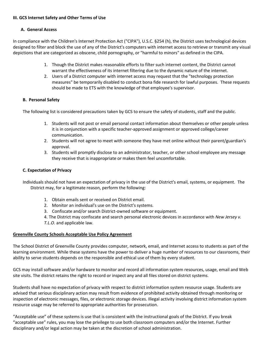#### **III. GCS Internet Safety and Other Terms of Use**

#### **A. General Access**

In compliance with the Children's Internet Protection Act ("CIPA"), U.S.C. §254 (h), the District uses technological devices designed to filter and block the use of any of the District's computers with internet access to retrieve or transmit any visual depictions that are categorized as obscene, child pornography, or "harmful to minors" as defined in the CIPA.

- 1. Though the District makes reasonable efforts to filter such internet content, the District cannot warrant the effectiveness of its internet filtering due to the dynamic nature of the internet.
- 2. Users of a District computer with internet access may request that the "technology protection measures" be temporarily disabled to conduct bona fide research for lawful purposes. These requests should be made to ETS with the knowledge of that employee's supervisor.

#### **B. Personal Safety**

The following list is considered precautions taken by GCS to ensure the safety of students, staff and the public.

- 1. Students will not post or email personal contact information about themselves or other people unless it is in conjunction with a specific teacher-approved assignment or approved college/career communication.
- 2. Students will not agree to meet with someone they have met online without their parent/guardian's approval.
- 3. Students will promptly disclose to an administrator, teacher, or other school employee any message they receive that is inappropriate or makes them feel uncomfortable.

#### **C. Expectation of Privacy**

Individuals should not have an expectation of privacy in the use of the District's email, systems, or equipment. The District may, for a legitimate reason, perform the following:

- 1. Obtain emails sent or received on District email.
- 2. Monitor an individual's use on the District's systems.
- 3. Confiscate and/or search District-owned software or equipment.

4. The District may confiscate and search personal electronic devices in accordance with *New Jersey v. T.L.O*. and applicable law.

#### **Greenville County Schools Acceptable Use Policy Agreement**

The School District of Greenville County provides computer, network, email, and Internet access to students as part of the learning environment. While these systems have the power to deliver a huge number of resources to our classrooms, their ability to serve students depends on the responsible and ethical use of them by every student.

GCS may install software and/or hardware to monitor and record all information system resources, usage, email and Web site visits. The district retains the right to record or inspect any and all files stored on district systems.

Students shall have no expectation of privacy with respect to district information system resource usage. Students are advised that serious disciplinary action may result from evidence of prohibited activity obtained through monitoring or inspection of electronic messages, files, or electronic storage devices. Illegal activity involving district information system resource usage may be referred to appropriate authorities for prosecution.

"Acceptable use" of these systems is use that is consistent with the instructional goals of the District. If you break "acceptable use" rules, you may lose the privilege to use both classroom computers and/or the Internet. Further disciplinary and/or legal action may be taken at the discretion of school administration.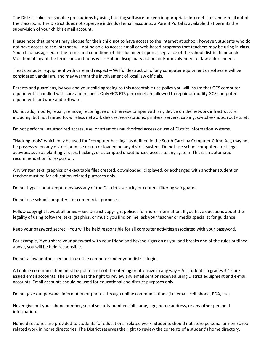The District takes reasonable precautions by using filtering software to keep inappropriate Internet sites and e-mail out of the classroom. The District does not supervise individual email accounts, a Parent Portal is available that permits the supervision of your child's email account.

Please note that parents may choose for their child not to have access to the Internet at school; however, students who do not have access to the Internet will not be able to access email or web based programs that teachers may be using in class. Your child has agreed to the terms and conditions of this document upon acceptance of the school district handbook. Violation of any of the terms or conditions will result in disciplinary action and/or involvement of law enforcement.

Treat computer equipment with care and respect – Willful destruction of any computer equipment or software will be considered vandalism, and may warrant the involvement of local law officials.

Parents and guardians, by you and your child agreeing to this acceptable use policy you will insure that GCS computer equipment is handled with care and respect. Only GCS ETS personnel are allowed to repair or modify GCS computer equipment hardware and software.

Do not add, modify, repair, remove, reconfigure or otherwise tamper with any device on the network infrastructure including, but not limited to: wireless network devices, workstations, printers, servers, cabling, switches/hubs, routers, etc.

Do not perform unauthorized access, use, or attempt unauthorized access or use of District information systems.

"Hacking tools" which may be used for "computer hacking" as defined in the South Carolina Computer Crime Act, may not be possessed on any district premise or run or loaded on any district system. Do not use school computers for illegal activities such as planting viruses, hacking, or attempted unauthorized access to any system. This is an automatic recommendation for expulsion.

Any written text, graphics or executable files created, downloaded, displayed, or exchanged with another student or teacher must be for education-related purposes only.

Do not bypass or attempt to bypass any of the District's security or content filtering safeguards.

Do not use school computers for commercial purposes.

Follow copyright laws at all times – See District copyright policies for more information. If you have questions about the legality of using software, text, graphics, or music you find online, ask your teacher or media specialist for guidance.

Keep your password secret – You will be held responsible for all computer activities associated with your password.

For example, if you share your password with your friend and he/she signs on as you and breaks one of the rules outlined above, you will be held responsible.

Do not allow another person to use the computer under your district login.

All online communication must be polite and not threatening or offensive in any way – All students in grades 3-12 are issued email accounts. The District has the right to review any email sent or received using District equipment and e-mail accounts. Email accounts should be used for educational and district purposes only.

Do not give out personal information or photos through online communications (i.e. email, cell phone, PDA, etc).

Never give out your phone number, social security number, full name, age, home address, or any other personal information.

Home directories are provided to students for educational related work. Students should not store personal or non-school related work in home directories. The District reserves the right to review the contents of a student's home directory.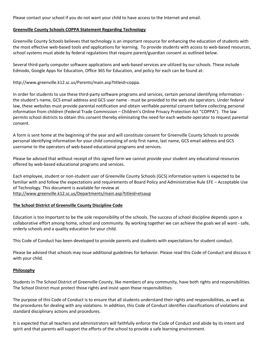Please contact your school if you do not want your child to have access to the Internet and email.

#### **Greenville County Schools COPPA Statement Regarding Technology**

Greenville County Schools believes that technology is an important resource for enhancing the education of students with the most effective web-based tools and applications for learning. To provide students with access to web-based resources, school systems must abide by federal regulations that require parent/guardian consent as outlined below.

Several third-party computer software applications and web-based services are utilized by our schools. These include Edmodo, Google Apps for Education, Office 365 for Education, and policy for each can be found at:

http://www.greenville.k12.sc.us/Parents/main.asp?titleid=coppa.

In order for students to use these third-party software programs and services, certain personal identifying information the student's name, GCS email address and GCS user name - must be provided to the web site operators. Under federal law, these websites must provide parental notification and obtain verifiable parental consent before collecting personal information from children (Federal Trade Commission – Children's Online Privacy Protection Act "COPPA"). The law permits school districts to obtain this consent thereby eliminating the need for each website operator to request parental consent.

A form is sent home at the beginning of the year and will constitute consent for Greenville County Schools to provide personal identifying information for your child consisting of only first name, last name, GCS email address and GCS username to the operators of web-based educational programs and services.

Please be advised that without receipt of this signed form we cannot provide your student any educational resources offered by web-based educational programs and services.

Each employee, student or non-student user of Greenville County Schools (GCS) information system is expected to be familiar with and follow the expectations and requirements of Board Policy and Administrative Rule EFE – Acceptable Use of Technology. This document is available for review at <http://www.greenville.k12.sc.us/Departments/main.asp?titleid=etsaup>

#### **The School District of Greenville County Discipline Code**

Education is too important to be the sole responsibility of the schools. The success of school discipline depends upon a collaborative effort among home, school and community. By working together we can achieve the goals we all want - safe, orderly schools and a quality education for your child.

This Code of Conduct has been developed to provide parents and students with expectations for student conduct.

Please be advised that schools may issue additional guidelines for behavior. Please read this Code of Conduct and discuss it with your child.

#### **Philosophy**

Students in The School District of Greenville County, like members of any community, have both rights and responsibilities. The School District must protect those rights and insist upon those responsibilities.

The purpose of this Code of Conduct is to ensure that all students understand their rights and responsibilities, as well as the procedures for dealing with any violations. In addition, this Code of Conduct identifies classifications of violations and standard disciplinary actions and procedures.

It is expected that all teachers and administrators will faithfully enforce the Code of Conduct and abide by its intent and spirit and that parents will support the efforts of the school to provide a safe learning environment.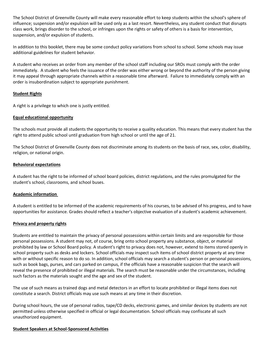The School District of Greenville County will make every reasonable effort to keep students within the school's sphere of influence; suspension and/or expulsion will be used only as a last resort. Nevertheless, any student conduct that disrupts class work, brings disorder to the school, or infringes upon the rights or safety of others is a basis for intervention, suspension, and/or expulsion of students.

In addition to this booklet, there may be some conduct policy variations from school to school. Some schools may issue additional guidelines for student behavior.

A student who receives an order from any member of the school staff including our SROs must comply with the order immediately. A student who feels the issuance of the order was either wrong or beyond the authority of the person giving it may appeal through appropriate channels within a reasonable time afterward. Failure to immediately comply with an order is insubordination subject to appropriate punishment.

#### **Student Rights**

A right is a privilege to which one is justly entitled.

#### **Equal educational opportunity**

The schools must provide all students the opportunity to receive a quality education. This means that every student has the right to attend public school until graduation from high school or until the age of 21.

The School District of Greenville County does not discriminate among its students on the basis of race, sex, color, disability, religion, or national origin.

#### **Behavioral expectations**

A student has the right to be informed of school board policies, district regulations, and the rules promulgated for the student's school, classrooms, and school buses.

#### **Academic information**

A student is entitled to be informed of the academic requirements of his courses, to be advised of his progress, and to have opportunities for assistance. Grades should reflect a teacher's objective evaluation of a student's academic achievement.

#### **Privacy and property rights**

Students are entitled to maintain the privacy of personal possessions within certain limits and are responsible for those personal possessions. A student may not, of course, bring onto school property any substance, object, or material prohibited by law or School Board policy. A student's right to privacy does not, however, extend to items stored openly in school property such as desks and lockers. School officials may inspect such items of school district property at any time with or without specific reason to do so. In addition, school officials may search a student's person or personal possessions, such as book bags, purses, and cars parked on campus, if the officials have a reasonable suspicion that the search will reveal the presence of prohibited or illegal materials. The search must be reasonable under the circumstances, including such factors as the materials sought and the age and sex of the student.

The use of such means as trained dogs and metal detectors in an effort to locate prohibited or illegal items does not constitute a search. District officials may use such means at any time in their discretion.

During school hours, the use of personal radios, tape/CD decks, electronic games, and similar devices by students are not permitted unless otherwise specified in official or legal documentation. School officials may confiscate all such unauthorized equipment.

#### **Student Speakers at School-Sponsored Activities**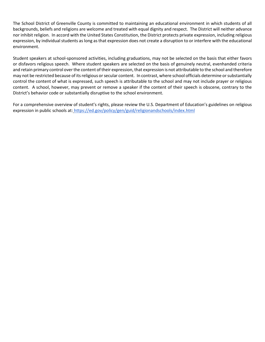The School District of Greenville County is committed to maintaining an educational environment in which students of all backgrounds, beliefs and religions are welcome and treated with equal dignity and respect. The District will neither advance nor inhibit religion. In accord with the United States Constitution, the District protects private expression, including religious expression, by individual students as long as that expression does not create a disruption to or interfere with the educational environment.

Student speakers at school-sponsored activities, including graduations, may not be selected on the basis that either favors or disfavors religious speech. Where student speakers are selected on the basis of genuinely neutral, evenhanded criteria and retain primary control over the content of their expression, that expression is not attributable to the school and therefore may not be restricted because of its religious or secular content. In contrast, where school officials determine or substantially control the content of what is expressed, such speech is attributable to the school and may not include prayer or religious content. A school, however, may prevent or remove a speaker if the content of their speech is obscene, contrary to the District's behavior code or substantially disruptive to the school environment.

For a comprehensive overview of student's rights, please review the U.S. Department of Education's guidelines on religious expression in public schools at: <https://ed.gov/policy/gen/guid/religionandschools/index.html>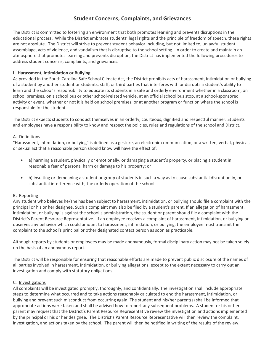## **Student Concerns, Complaints, and Grievances**

The District is committed to fostering an environment that both promotes learning and prevents disruptions in the educational process. While the District embraces students' legal rights and the principle of freedom of speech, these rights are not absolute. The District will strive to prevent student behavior including, but not limited to, unlawful student assemblage, acts of violence, and vandalism that is disruptive to the school setting. In order to create and maintain an atmosphere that promotes learning and prevents disruption, the District has implemented the following procedures to address student concerns, complaints, and grievances.

#### **I. Harassment, Intimidation or Bullying**

As provided in the South Carolina Safe School Climate Act, the District prohibits acts of harassment, intimidation or bullying of a student by another student or students, staff, or third parties that interferes with or disrupts a student's ability to learn and the school's responsibility to educate its students in a safe and orderly environment whether in a classroom, on school premises, on a school bus or other school-related vehicle, at an official school bus stop, at a school-sponsored activity or event, whether or not it is held on school premises, or at another program or function where the school is responsible for the student.

The District expects students to conduct themselves in an orderly, courteous, dignified and respectful manner. Students and employees have a responsibility to know and respect the policies, rules and regulations of the school and District.

#### A. Definitions

"Harassment, intimidation, or bullying" is defined as a gesture, an electronic communication, or a written, verbal, physical, or sexual act that a reasonable person should know will have the effect of:

- a) harming a student, physically or emotionally, or damaging a student's property, or placing a student in reasonable fear of personal harm or damage to his property; or
- b) insulting or demeaning a student or group of students in such a way as to cause substantial disruption in, or substantial interference with, the orderly operation of the school.

#### B**.** Reporting

Any student who believes he/she has been subject to harassment, intimidation, or bullying should file a complaint with the principal or his or her designee. Such a complaint may also be filed by a student's parent. If an allegation of harassment, intimidation, or bullying is against the school's administration, the student or parent should file a complaint with the District's Parent Resource Representative. If an employee receives a complaint of harassment, intimidation, or bullying or observes any behavior which could amount to harassment, intimidation, or bullying, the employee must transmit the complaint to the school's principal or other designated contact person as soon as practicable.

Although reports by students or employees may be made anonymously, formal disciplinary action may not be taken solely on the basis of an anonymous report.

The District will be responsible for ensuring that reasonable efforts are made to prevent public disclosure of the names of all parties involved in harassment, intimidation, or bullying allegations, except to the extent necessary to carry out an investigation and comply with statutory obligations.

#### C. Investigations

All complaints will be investigated promptly, thoroughly, and confidentially. The investigation shall include appropriate steps to determine what occurred and to take actions reasonably calculated to end the harassment, intimidation, or bullying and prevent such misconduct from occurring again. The student and his/her parent(s) shall be informed that appropriate actions were taken and shall be advised how to report any subsequent problems. A student or his or her parent may request that the District's Parent Resource Representative review the investigation and actions implemented by the principal or his or her designee. The District's Parent Resource Representative will then review the complaint, investigation, and actions taken by the school. The parent will then be notified in writing of the results of the review.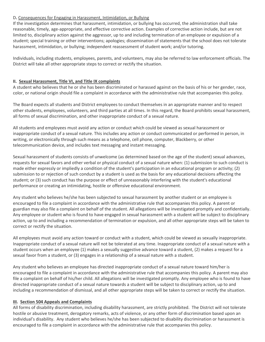#### D**.** Consequences for Engaging in Harassment, Intimidation, or Bullying

If the investigation determines that harassment, intimidation, or bullying has occurred, the administration shall take reasonable, timely, age-appropriate, and effective corrective action. Examples of corrective action include, but are not limited to, disciplinary action against the aggressor, up to and including termination of an employee or expulsion of a student; special training or other interventions; apologies; dissemination of statements that the school does not tolerate harassment, intimidation, or bullying; independent reassessment of student work; and/or tutoring.

Individuals, including students, employees, parents, and volunteers, may also be referred to law enforcement officials. The District will take all other appropriate steps to correct or rectify the situation.

#### **II. Sexual Harassment, Title VI, and Title IX complaints**

A student who believes that he or she has been discriminated or harassed against on the basis of his or her gender, race, color, or national origin should file a complaint in accordance with the administrative rule that accompanies this policy.

The Board expects all students and District employees to conduct themselves in an appropriate manner and to respect other students, employees, volunteers, and third parties at all times. In this regard, the Board prohibits sexual harassment, all forms of sexual discrimination, and other inappropriate conduct of a sexual nature.

All students and employees must avoid any action or conduct which could be viewed as sexual harassment or inappropriate conduct of a sexual nature. This includes any action or conduct communicated or performed in person, in writing, or electronically through such means as a telephone, cell phone, computer, Blackberry, or other telecommunication device, and includes text messaging and instant messaging.

Sexual harassment of students consists of unwelcome (as determined based on the age of the student) sexual advances, requests for sexual favors and other verbal or physical conduct of a sexual nature when: (1) submission to such conduct is made either expressly or impliedly a condition of the student's participation in an educational program or activity; (2) submission to or rejection of such conduct by a student is used as the basis for any educational decisions affecting the student; or (3) such conduct has the purpose or effect of unreasonably interfering with the student's educational performance or creating an intimidating, hostile or offensive educational environment.

Any student who believes he/she has been subjected to sexual harassment by another student or an employee is encouraged to file a complaint in accordance with the administrative rule that accompanies this policy. A parent or guardian may also file a complaint on behalf of the student. All allegations will be investigated promptly and confidentially. Any employee or student who is found to have engaged in sexual harassment with a student will be subject to disciplinary action, up to and including a recommendation of termination or expulsion, and all other appropriate steps will be taken to correct or rectify the situation.

All employees must avoid any action toward or conduct with a student, which could be viewed as sexually inappropriate. Inappropriate conduct of a sexual nature will not be tolerated at any time. Inappropriate conduct of a sexual nature with a student occurs when an employee (1) makes a sexually suggestive advance toward a student, (2) makes a request for a sexual favor from a student, or (3) engages in a relationship of a sexual nature with a student.

Any student who believes an employee has directed inappropriate conduct of a sexual nature toward him/her is encouraged to file a complaint in accordance with the administrative rule that accompanies this policy. A parent may also file a complaint on behalf of his/her child. All allegations will be investigated promptly. Any employee who is found to have directed inappropriate conduct of a sexual nature towards a student will be subject to disciplinary action, up to and including a recommendation of dismissal, and all other appropriate steps will be taken to correct or rectify the situation.

#### **III. Section 504 Appeals and Complaints**

All forms of disability discrimination, including disability harassment, are strictly prohibited. The District will not tolerate hostile or abusive treatment, derogatory remarks, acts of violence, or any other form of discrimination based upon an individual's disability. Any student who believes he/she has been subjected to disability discrimination or harassment is encouraged to file a complaint in accordance with the administrative rule that accompanies this policy.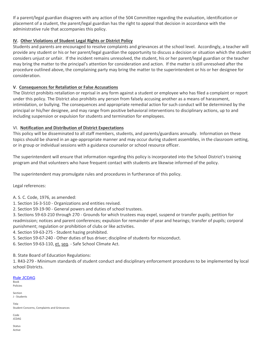If a parent/legal guardian disagrees with any action of the 504 Committee regarding the evaluation, identification or placement of a student, the parent/legal guardian has the right to appeal that decision in accordance with the administrative rule that accompanies this policy.

#### **IV. Other Violations of Student Legal Rights or District Policy**

Students and parents are encouraged to resolve complaints and grievances at the school level. Accordingly, a teacher will provide any student or his or her parent/legal guardian the opportunity to discuss a decision or situation which the student considers unjust or unfair. If the incident remains unresolved, the student, his or her parent/legal guardian or the teacher may bring the matter to the principal's attention for consideration and action. If the matter is still unresolved after the procedure outlined above, the complaining party may bring the matter to the superintendent or his or her designee for consideration.

#### **V**. **Consequences for Retaliation or False Accusations**

The District prohibits retaliation or reprisal in any form against a student or employee who has filed a complaint or report under this policy. The District also prohibits any person from falsely accusing another as a means of harassment, intimidation, or bullying. The consequences and appropriate remedial action for such conduct will be determined by the principal or his/her designee, and may range from positive behavioral interventions to disciplinary actions, up to and including suspension or expulsion for students and termination for employees.

#### VI. **Notification and Distribution of District Expectations**

This policy will be disseminated to all staff members, students, and parents/guardians annually. Information on these topics should be shared in an age-appropriate manner and may occur during student assemblies, in the classroom setting, or in group or individual sessions with a guidance counselor or school resource officer.

The superintendent will ensure that information regarding this policy is incorporated into the School District's training program and that volunteers who have frequent contact with students are likewise informed of the policy.

The superintendent may promulgate rules and procedures in furtherance of this policy.

Legal references:

- A. S. C. Code, 1976, as amended:
- 1. Section 16-3-510 Organizations and entities revised.
- 2. Section 59-19-90 General powers and duties of school trustees.

3. Sections 59-63-210 through 270 - Grounds for which trustees may expel, suspend or transfer pupils; petition for readmission; notices and parent conferences; expulsion for remainder of year and hearings; transfer of pupils; corporal punishment; regulation or prohibition of clubs or like activities.

- 4. Section 59-63-275 Student hazing prohibited.
- 5. Section 59-67-240 Other duties of bus driver; discipline of students for misconduct.

6. Section 59-63-110, et. seq. - Safe School Climate Act.

B. State Board of Education Regulations:

1. R43-279 - Minimum standards of student conduct and disciplinary enforcement procedures to be implemented by local school Districts.

#### Rule [JCDAG](http://go.boarddocs.com/sc/greenville/Board.nsf/goto?open&id=9WYH6P46FFC7) Book

Policies

Section J - Students

Title Student Concerns, Complaints and Grievances

Code JCDAG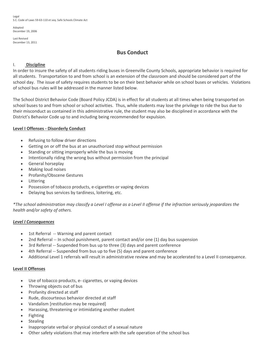Legal S.C. Code of Laws [59-63-110](https://www.scstatehouse.gov/code/t59c063.php) et seq. Safe Schools Climate Act

Adopted December 19, 2006

Last Revised December 13, 2011

## **Bus Conduct**

#### I. **Discipline**

In order to insure the safety of all students riding buses in Greenville County Schools, appropriate behavior is required for all students. Transportation to and from school is an extension of the classroom and should be considered part of the school day. The issue of safety requires students to be on their best behavior while on school buses or vehicles. Violations of school bus rules will be addressed in the manner listed below.

The School District Behavior Code (Board Policy JCDA) is in effect for all students at all times when being transported on school buses to and from school or school activities. Thus, while students may lose the privilege to ride the bus due to their misconduct as contained in this administrative rule, the student may also be disciplined in accordance with the District's Behavior Code up to and including being recommended for expulsion.

#### **Level I Offenses - Disorderly Conduct**

- Refusing to follow driver directions
- Getting on or off the bus at an unauthorized stop without permission
- Standing or sitting improperly while the bus is moving
- Intentionally riding the wrong bus without permission from the principal
- General horseplay
- Making loud noises
- Profanity/Obscene Gestures
- **Littering**
- Possession of tobacco products, e-cigarettes or vaping devices
- Delaying bus services by tardiness, loitering, etc.

\*The school administration may classify a Level I offense as a Level II offense if the infraction seriously jeopardizes the *health and/or safety of others.*

#### *Level I Consequences*

- 1st Referral -- Warning and parent contact
- 2nd Referral -- In school punishment, parent contact and/or one (1) day bus suspension
- 3rd Referral -- Suspended from bus up to three (3) days and parent conference
- 4th Referral -- Suspended from bus up to five (5) days and parent conference
- Additional Level 1 referrals will result in administrative review and may be accelerated to a Level II consequence.

#### **Level II Offenses**

- Use of tobacco products, e- cigarettes, or vaping devices
- Throwing objects out of bus
- Profanity directed at staff
- Rude, discourteous behavior directed at staff
- Vandalism [restitution may be required]
- Harassing, threatening or intimidating another student
- Fighting
- Stealing
- Inappropriate verbal or physical conduct of a sexual nature
- Other safety violations that may interfere with the safe operation of the school bus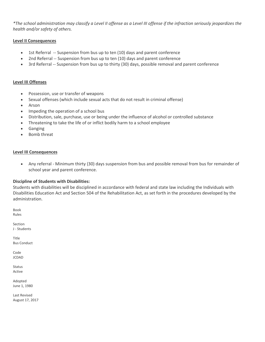\*The school administration may classify a Level II offense as a Level III offense if the infraction seriously jeopardizes the *health and/or safety of others.*

#### **Level II Consequences**

- 1st Referral -- Suspension from bus up to ten (10) days and parent conference
- 2nd Referral -- Suspension from bus up to ten (10) days and parent conference
- 3rd Referral -- Suspension from bus up to thirty (30) days, possible removal and parent conference

#### **Level III Offenses**

- Possession, use or transfer of weapons
- Sexual offenses (which include sexual acts that do not result in criminal offense)
- Arson
- Impeding the operation of a school bus
- Distribution, sale, purchase, use or being under the influence of alcohol or controlled substance
- Threatening to take the life of or inflict bodily harm to a school employee
- Ganging
- Bomb threat

#### **Level III Consequences**

• Any referral - Minimum thirty (30) days suspension from bus and possible removal from bus for remainder of school year and parent conference.

#### **Discipline of Students with Disabilities:**

Students with disabilities will be disciplined in accordance with federal and state law including the Individuals with Disabilities Education Act and Section 504 of the Rehabilitation Act, as set forth in the procedures developed by the administration.

Book Rules

Section J - Students

Title Bus Conduct

Code JCDAD

Status Active

Adopted June 1, 1980

Last Revised August 17, 2017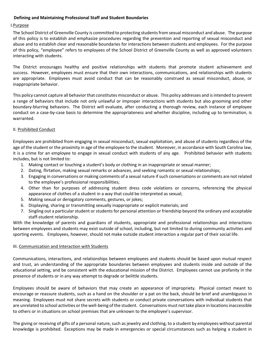#### **Defining and Maintaining Professional Staff and Student Boundaries**

#### I.Purpose

The School District of Greenville County is committed to protecting students from sexual misconduct and abuse. The purpose of this policy is to establish and emphasize procedures regarding the prevention and reporting of sexual misconduct and abuse and to establish clear and reasonable boundaries for interactions between students and employees. For the purpose of this policy, "employee" refers to employees of the School District of Greenville County as well as approved volunteers interacting with students.

The District encourages healthy and positive relationships with students that promote student achievement and success. However, employees must ensure that their own interactions, communications, and relationships with students are appropriate. Employees must avoid conduct that can be reasonably construed as sexual misconduct, abuse, or inappropriate behavior.

This policy cannot capture all behavior that constitutes misconduct or abuse. This policy addresses and is intended to prevent a range of behaviors that include not only unlawful or improper interactions with students but also grooming and other boundary-blurring behaviors. The District will evaluate, after conducting a thorough review, each instance of employee conduct on a case-by-case basis to determine the appropriateness and whether discipline, including up to termination, is warranted.

#### II. Prohibited Conduct

Employees are prohibited from engaging in sexual misconduct, sexual exploitation, and abuse of students regardless of the age of the student or the proximity in age of the employee to the student. Moreover, in accordance with South Carolina law, it is a crime for an employee to engage in sexual conduct with students of any age. Prohibited behavior with students includes, but is not limited to:

- 1. Making contact or touching a student's body or clothing in an inappropriate or sexual manner;
- 2. Dating, flirtation, making sexual remarks or advances, and seeking romantic or sexual relationships;
- 3. Engaging in conversations or making comments of a sexual nature if such conversations or comments are not related to the employee's professional responsibilities;
- 4. Other than for purposes of addressing student dress code violations or concerns, referencing the physical appearance of clothes of a student in a way that could be interpreted as sexual;
- 5. Making sexual or derogatory comments, gestures, or jokes;
- 6. Displaying, sharing or transmitting sexually inappropriate or explicit materials; and
- 7. Singling out a particular student or students for personal attention or friendship beyond the ordinary and acceptable staff-student relationship.

With the knowledge of parents and guardians of students, appropriate and professional relationships and interactions between employees and students may exist outside of school, including, but not limited to during community activities and sporting events. Employees, however, should not make outside student interaction a regular part of their social life.

#### III. Communication and Interaction with Students

Communications, interactions, and relationships between employees and students should be based upon mutual respect and trust, an understanding of the appropriate boundaries between employees and students inside and outside of the educational setting, and be consistent with the educational mission of the District. Employees cannot use profanity in the presence of students or in any way attempt to degrade or belittle students.

Employees should be aware of behaviors that may create an appearance of impropriety. Physical contact meant to encourage or reassure students, such as a hand on the shoulder or a pat on the back, should be brief and unambiguous in meaning. Employees must not share secrets with students or conduct private conversations with individual students that are unrelated to school activities or the well-being of the student. Conversations must not take place in locations inaccessible to others or in situations on school premises that are unknown to the employee's supervisor.

The giving or receiving of gifts of a personal nature, such as jewelry and clothing, to a student by employees without parental knowledge is prohibited. Exceptions may be made in emergencies or special circumstances such as helping a student in